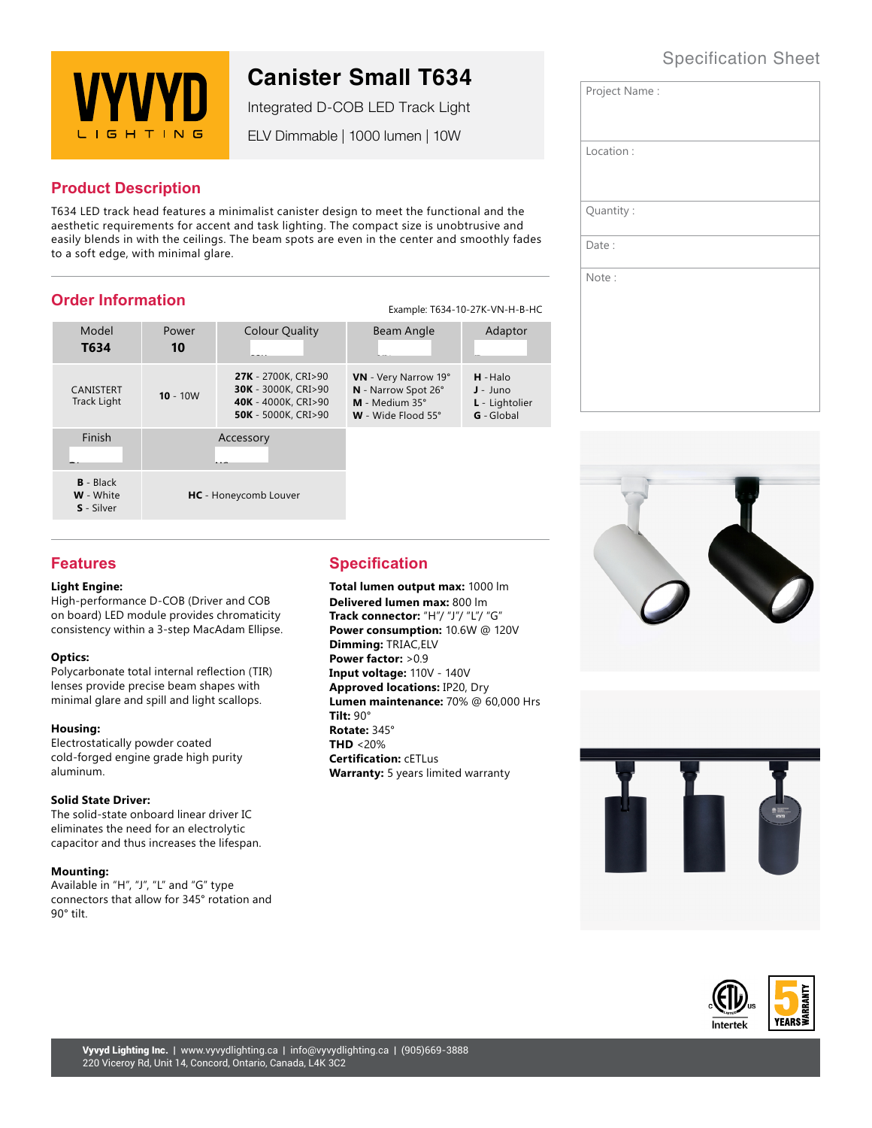## Specification Sheet



# **Canister Small T634**

Integrated D-COB LED Track Light

ELV Dimmable | 1000 lumen | 10W

## **Product Description**

T634 LED track head features a minimalist canister design to meet the functional and the aesthetic requirements for accent and task lighting. The compact size is unobtrusive and easily blends in with the ceilings. The beam spots are even in the center and smoothly fades to a soft edge, with minimal glare.

## **Order Information**

| Example: T634-10-27K-VN-H-B-HC |
|--------------------------------|

| Model<br>T634                   | Power<br>10 | <b>Colour Quality</b>                                                                                  | Beam Angle                                                                                   | Adaptor                                                         |
|---------------------------------|-------------|--------------------------------------------------------------------------------------------------------|----------------------------------------------------------------------------------------------|-----------------------------------------------------------------|
| <b>CANISTERT</b><br>Track Light | $10 - 10W$  | 27K - 2700K, CRI>90<br><b>30K</b> - 3000K, CRI>90<br>40K - 4000K, CRI>90<br><b>50K</b> - 5000K, CRI>90 | VN - Very Narrow 19°<br>N - Narrow Spot 26°<br>$M - Medium 35^\circ$<br>$W -$ Wide Flood 55° | $H - Halo$<br>$J - Juno$<br>L - Lightolier<br><b>G</b> - Global |
| Finish                          |             | Accessory                                                                                              |                                                                                              |                                                                 |
| $B - Black$<br><b>W</b> - White |             | <b>HC</b> - Honeycomb Louver                                                                           |                                                                                              |                                                                 |

| Project Name: |
|---------------|
| Location:     |
| Quantity:     |
| Date:         |
| Note:         |







## **Features**

**S** - Silver

#### **Light Engine:**

High-performance D-COB (Driver and COB on board) LED module provides chromaticity consistency within a 3-step MacAdam Ellipse.

#### **Optics:**

Polycarbonate total internal reflection (TIR) lenses provide precise beam shapes with minimal glare and spill and light scallops.

#### **Housing:**

Electrostatically powder coated cold-forged engine grade high purity aluminum.

#### **Solid State Driver:**

The solid-state onboard linear driver IC eliminates the need for an electrolytic capacitor and thus increases the lifespan.

#### **Mounting:**

Available in "H", "J", "L" and "G" type connectors that allow for 345° rotation and 90° tilt.

## **Specification**

**Total lumen output max:** 1000 lm **Delivered lumen max:** 800 lm **Track connector:** "H"/ "J"/ "L"/ "G" **Power consumption:** 10.6W @ 120V **Dimming:** TRIAC,ELV **Power factor:** >0.9 **Input voltage:** 110V - 140V **Approved locations:** IP20, Dry **Lumen maintenance:** 70% @ 60,000 Hrs **Tilt:** 90° **Rotate:** 345° **THD** <20% **Certification:** cETLus **Warranty:** 5 years limited warranty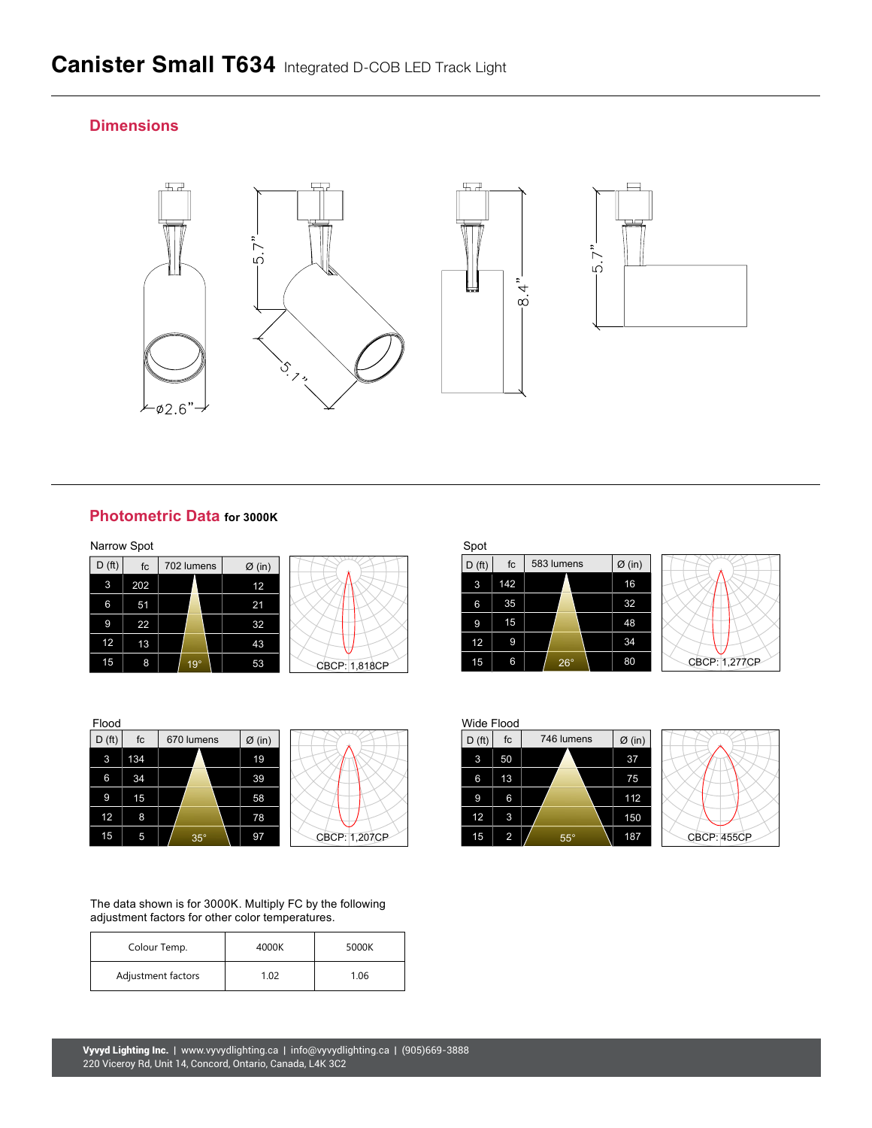## **Dimensions**



### **Photometric Data for 3000K**

| Narrow Spot        |     |            |                    |               | Spot               |
|--------------------|-----|------------|--------------------|---------------|--------------------|
| D(f <sub>t</sub> ) | fc  | 702 lumens | $\varnothing$ (in) |               | D(f <sub>i</sub> ) |
| 3                  | 202 |            | 12                 |               | 3                  |
| 6                  | 51  |            | 21                 |               | 6                  |
| 9                  | 22  |            | 32                 |               | 9                  |
| 12                 | 13  |            | 43                 |               | 12                 |
| 15                 | 8   | 19°        | 53                 | CBCP: 1.818CP | 15                 |



| Flood              |     |            |                    |               | Wide Flood         |                |
|--------------------|-----|------------|--------------------|---------------|--------------------|----------------|
| D(f <sub>t</sub> ) | fc  | 670 lumens | $\varnothing$ (in) |               | D(f <sub>t</sub> ) | fc             |
| 3                  | 134 |            | 19                 |               | 3                  | 50             |
| 6                  | 34  |            | 39                 |               | 6                  | 13             |
| 9                  | 15  |            | 58                 |               | 9                  | 6              |
| 12 <sub>12</sub>   | 8   |            | 78                 |               | 12                 | 3              |
| 15                 | 5   | $35^\circ$ | 97                 | CBCP: 1,207CP | 15                 | $\overline{2}$ |



The data shown is for 3000K. Multiply FC by the following adjustment factors for other color temperatures.

| Colour Temp.       | 4000K | 5000K |
|--------------------|-------|-------|
| Adjustment factors | 1.02  | 1.06  |

| 702 lumens | $\varnothing$ (in) |               | D(f <sub>t</sub> ) | fc  | 583 lumens | $\varnothing$ (in) |               |
|------------|--------------------|---------------|--------------------|-----|------------|--------------------|---------------|
|            | 12                 |               | 3                  | 142 |            | 16                 |               |
|            | 21                 |               | 6                  | 35  |            | 32                 |               |
|            | 32                 |               | 9                  | 15  |            | 48                 |               |
|            | 43                 |               | 12                 | 9   |            | 34                 |               |
| $19^\circ$ | 53                 | CBCP: 1,818CP | 15                 | 6   | $26^\circ$ | 80                 | CBCP: 1,277CP |